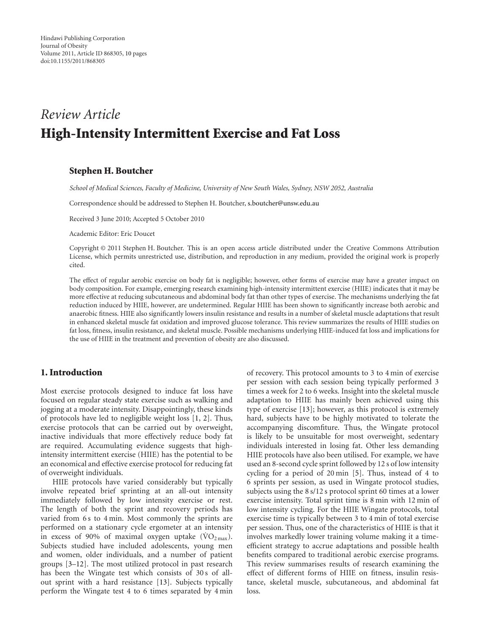# *Review Article* High-Intensity Intermittent Exercise and Fat Loss

## Stephen H. Boutcher

*School of Medical Sciences, Faculty of Medicine, University of New South Wales, Sydney, NSW 2052, Australia*

Correspondence should be addressed to Stephen H. Boutcher, [s.boutcher@unsw.edu.au](mailto:s.boutcher@unsw.edu.au)

Received 3 June 2010; Accepted 5 October 2010

Academic Editor: Eric Doucet

Copyright © 2011 Stephen H. Boutcher. This is an open access article distributed under the Creative Commons Attribution License, which permits unrestricted use, distribution, and reproduction in any medium, provided the original work is properly cited.

The effect of regular aerobic exercise on body fat is negligible; however, other forms of exercise may have a greater impact on body composition. For example, emerging research examining high-intensity intermittent exercise (HIIE) indicates that it may be more effective at reducing subcutaneous and abdominal body fat than other types of exercise. The mechanisms underlying the fat reduction induced by HIIE, however, are undetermined. Regular HIIE has been shown to significantly increase both aerobic and anaerobic fitness. HIIE also significantly lowers insulin resistance and results in a number of skeletal muscle adaptations that result in enhanced skeletal muscle fat oxidation and improved glucose tolerance. This review summarizes the results of HIIE studies on fat loss, fitness, insulin resistance, and skeletal muscle. Possible mechanisms underlying HIIE-induced fat loss and implications for the use of HIIE in the treatment and prevention of obesity are also discussed.

## 1. Introduction

Most exercise protocols designed to induce fat loss have focused on regular steady state exercise such as walking and jogging at a moderate intensity. Disappointingly, these kinds of protocols have led to negligible weight loss [\[1,](#page-7-1) [2\]](#page-7-2). Thus, exercise protocols that can be carried out by overweight, inactive individuals that more effectively reduce body fat are required. Accumulating evidence suggests that highintensity intermittent exercise (HIIE) has the potential to be an economical and effective exercise protocol for reducing fat of overweight individuals.

HIIE protocols have varied considerably but typically involve repeated brief sprinting at an all-out intensity immediately followed by low intensity exercise or rest. The length of both the sprint and recovery periods has varied from 6 s to 4 min. Most commonly the sprints are performed on a stationary cycle ergometer at an intensity in excess of 90% of maximal oxygen uptake  $(\rm VO_{2\,max})$ . Subjects studied have included adolescents, young men and women, older individuals, and a number of patient groups [\[3](#page-7-3)[–12\]](#page-7-4). The most utilized protocol in past research has been the Wingate test which consists of 30 s of allout sprint with a hard resistance [\[13\]](#page-7-5). Subjects typically perform the Wingate test 4 to 6 times separated by 4 min of recovery. This protocol amounts to 3 to 4 min of exercise per session with each session being typically performed 3 times a week for 2 to 6 weeks. Insight into the skeletal muscle adaptation to HIIE has mainly been achieved using this type of exercise [\[13](#page-7-5)]; however, as this protocol is extremely hard, subjects have to be highly motivated to tolerate the accompanying discomfiture. Thus, the Wingate protocol is likely to be unsuitable for most overweight, sedentary individuals interested in losing fat. Other less demanding HIIE protocols have also been utilised. For example, we have used an 8-second cycle sprint followed by 12 s of low intensity cycling for a period of 20 min [\[5\]](#page-7-6). Thus, instead of 4 to 6 sprints per session, as used in Wingate protocol studies, subjects using the 8 s/12 s protocol sprint 60 times at a lower exercise intensity. Total sprint time is 8 min with 12 min of low intensity cycling. For the HIIE Wingate protocols, total exercise time is typically between 3 to 4 min of total exercise per session. Thus, one of the characteristics of HIIE is that it involves markedly lower training volume making it a timeefficient strategy to accrue adaptations and possible health benefits compared to traditional aerobic exercise programs. This review summarises results of research examining the effect of different forms of HIIE on fitness, insulin resistance, skeletal muscle, subcutaneous, and abdominal fat loss.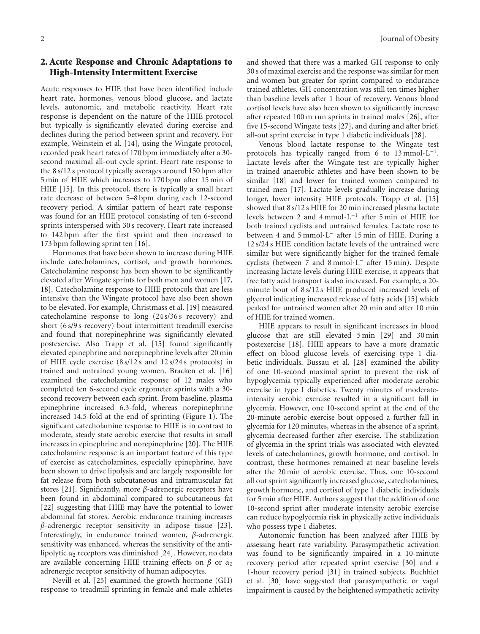# 2. Acute Response and Chronic Adaptations to High-Intensity Intermittent Exercise

Acute responses to HIIE that have been identified include heart rate, hormones, venous blood glucose, and lactate levels, autonomic, and metabolic reactivity. Heart rate response is dependent on the nature of the HIIE protocol but typically is significantly elevated during exercise and declines during the period between sprint and recovery. For example, Weinstein et al. [\[14\]](#page-7-7), using the Wingate protocol, recorded peak heart rates of 170 bpm immediately after a 30 second maximal all-out cycle sprint. Heart rate response to the 8 s/12 s protocol typically averages around 150 bpm after 5 min of HIIE which increases to 170 bpm after 15 min of HIIE [\[15](#page-7-8)]. In this protocol, there is typically a small heart rate decrease of between 5–8 bpm during each 12-second recovery period. A similar pattern of heart rate response was found for an HIIE protocol consisting of ten 6-second sprints interspersed with 30 s recovery. Heart rate increased to 142 bpm after the first sprint and then increased to 173 bpm following sprint ten [\[16\]](#page-7-9).

Hormones that have been shown to increase during HIIE include catecholamines, cortisol, and growth hormones. Catecholamine response has been shown to be significantly elevated after Wingate sprints for both men and women [\[17,](#page-7-10) [18](#page-8-0)]. Catecholamine response to HIIE protocols that are less intensive than the Wingate protocol have also been shown to be elevated. For example, Christmass et al. [\[19](#page-8-1)] measured catecholamine response to long (24 s/36 s recovery) and short (6 s/9 s recovery) bout intermittent treadmill exercise and found that norepinephrine was significantly elevated postexercise. Also Trapp et al. [\[15\]](#page-7-8) found significantly elevated epinephrine and norepinephrine levels after 20 min of HIIE cycle exercise (8 s/12 s and 12 s/24 s protocols) in trained and untrained young women. Bracken et al. [\[16](#page-7-9)] examined the catecholamine response of 12 males who completed ten 6-second cycle ergometer sprints with a 30 second recovery between each sprint. From baseline, plasma epinephrine increased 6.3-fold, whereas norepinephrine increased 14.5-fold at the end of sprinting (Figure [1\)](#page-2-0). The significant catecholamine response to HIIE is in contrast to moderate, steady state aerobic exercise that results in small increases in epinephrine and norepinephrine [\[20\]](#page-8-2). The HIIE catecholamine response is an important feature of this type of exercise as catecholamines, especially epinephrine, have been shown to drive lipolysis and are largely responsible for fat release from both subcutaneous and intramuscular fat stores [\[21](#page-8-3)]. Significantly, more *β*-adrenergic receptors have been found in abdominal compared to subcutaneous fat [\[22\]](#page-8-4) suggesting that HIIE may have the potential to lower abdominal fat stores. Aerobic endurance training increases *β*-adrenergic receptor sensitivity in adipose tissue [\[23\]](#page-8-5). Interestingly, in endurance trained women, *β*-adrenergic sensitivity was enhanced, whereas the sensitivity of the antilipolytic *α*<sup>2</sup> receptors was diminished [\[24](#page-8-6)]. However, no data are available concerning HIIE training effects on  $\beta$  or  $\alpha_2$ adrenergic receptor sensitivity of human adipocytes.

Nevill et al. [\[25](#page-8-7)] examined the growth hormone (GH) response to treadmill sprinting in female and male athletes and showed that there was a marked GH response to only 30 s of maximal exercise and the response was similar for men and women but greater for sprint compared to endurance trained athletes. GH concentration was still ten times higher than baseline levels after 1 hour of recovery. Venous blood cortisol levels have also been shown to significantly increase after repeated 100 m run sprints in trained males [\[26\]](#page-8-8), after five 15-second Wingate tests [\[27\]](#page-8-9), and during and after brief, all-out sprint exercise in type 1 diabetic individuals [\[28](#page-8-10)].

Venous blood lactate response to the Wingate test protocols has typically ranged from 6 to  $13$  mmol⋅L<sup>-1</sup>. Lactate levels after the Wingate test are typically higher in trained anaerobic athletes and have been shown to be similar [\[18\]](#page-8-0) and lower for trained women compared to trained men [\[17\]](#page-7-10). Lactate levels gradually increase during longer, lower intensity HIIE protocols. Trapp et al. [\[15](#page-7-8)] showed that 8 s/12 s HIIE for 20 min increased plasma lactate levels between 2 and 4 mmol·L−<sup>1</sup> after 5 min of HIIE for both trained cyclists and untrained females. Lactate rose to between 4 and 5 mmol·L−1after 15 min of HIIE. During a 12 s/24 s HIIE condition lactate levels of the untrained were similar but were significantly higher for the trained female cyclists (between 7 and 8 mmol·L−1after 15 min). Despite increasing lactate levels during HIIE exercise, it appears that free fatty acid transport is also increased. For example, a 20 minute bout of 8 s/12 s HIIE produced increased levels of glycerol indicating increased release of fatty acids [\[15\]](#page-7-8) which peaked for untrained women after 20 min and after 10 min of HIIE for trained women.

HIIE appears to result in significant increases in blood glucose that are still elevated 5 min [\[29](#page-8-11)] and 30 min postexercise [\[18](#page-8-0)]. HIIE appears to have a more dramatic effect on blood glucose levels of exercising type 1 diabetic individuals. Bussau et al. [\[28](#page-8-10)] examined the ability of one 10-second maximal sprint to prevent the risk of hypoglycemia typically experienced after moderate aerobic exercise in type I diabetics. Twenty minutes of moderateintensity aerobic exercise resulted in a significant fall in glycemia. However, one 10-second sprint at the end of the 20-minute aerobic exercise bout opposed a further fall in glycemia for 120 minutes, whereas in the absence of a sprint, glycemia decreased further after exercise. The stabilization of glycemia in the sprint trials was associated with elevated levels of catecholamines, growth hormone, and cortisol. In contrast, these hormones remained at near baseline levels after the 20 min of aerobic exercise. Thus, one 10-second all out sprint significantly increased glucose, catecholamines, growth hormone, and cortisol of type 1 diabetic individuals for 5 min after HIIE. Authors suggest that the addition of one 10-second sprint after moderate intensity aerobic exercise can reduce hypoglycemia risk in physically active individuals who possess type 1 diabetes.

Autonomic function has been analyzed after HIIE by assessing heart rate variability. Parasympathetic activation was found to be significantly impaired in a 10-minute recovery period after repeated sprint exercise [\[30](#page-8-12)] and a 1-hour recovery period [\[31](#page-8-13)] in trained subjects. Buchhiet et al. [\[30](#page-8-12)] have suggested that parasympathetic or vagal impairment is caused by the heightened sympathetic activity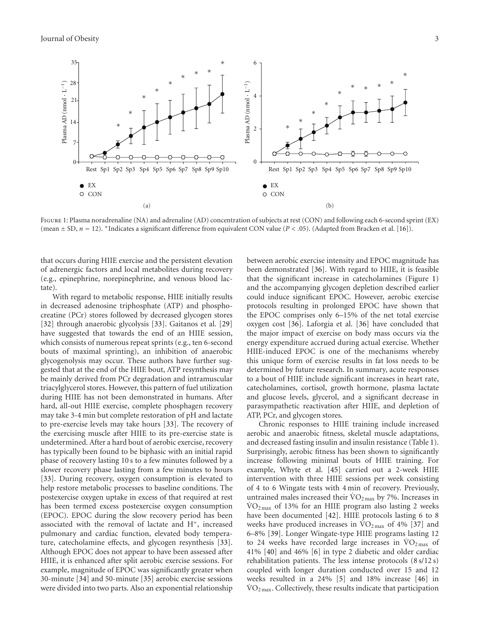

<span id="page-2-0"></span>Figure 1: Plasma noradrenaline (NA) and adrenaline (AD) concentration of subjects at rest (CON) and following each 6-second sprint (EX) (mean ± SD, *n* = 12). <sup>∗</sup>Indicates a significant difference from equivalent CON value (*P<.*05). (Adapted from Bracken et al. [\[16\]](#page-7-9)).

that occurs during HIIE exercise and the persistent elevation of adrenergic factors and local metabolites during recovery (e.g., epinephrine, norepinephrine, and venous blood lactate).

With regard to metabolic response, HIIE initially results in decreased adenosine triphosphate (ATP) and phosphocreatine (PCr) stores followed by decreased glycogen stores [\[32\]](#page-8-14) through anaerobic glycolysis [\[33\]](#page-8-15). Gaitanos et al. [\[29](#page-8-11)] have suggested that towards the end of an HIIE session, which consists of numerous repeat sprints (e.g., ten 6-second bouts of maximal sprinting), an inhibition of anaerobic glycogenolysis may occur. These authors have further suggested that at the end of the HIIE bout, ATP resynthesis may be mainly derived from PCr degradation and intramuscular triacylglycerol stores. However, this pattern of fuel utilization during HIIE has not been demonstrated in humans. After hard, all-out HIIE exercise, complete phosphagen recovery may take 3-4 min but complete restoration of pH and lactate to pre-exercise levels may take hours [\[33](#page-8-15)]. The recovery of the exercising muscle after HIIE to its pre-exercise state is undetermined. After a hard bout of aerobic exercise, recovery has typically been found to be biphasic with an initial rapid phase of recovery lasting 10 s to a few minutes followed by a slower recovery phase lasting from a few minutes to hours [\[33\]](#page-8-15). During recovery, oxygen consumption is elevated to help restore metabolic processes to baseline conditions. The postexercise oxygen uptake in excess of that required at rest has been termed excess postexercise oxygen consumption (EPOC). EPOC during the slow recovery period has been associated with the removal of lactate and H+, increased pulmonary and cardiac function, elevated body temperature, catecholamine effects, and glycogen resynthesis [\[33\]](#page-8-15). Although EPOC does not appear to have been assessed after HIIE, it is enhanced after split aerobic exercise sessions. For example, magnitude of EPOC was significantly greater when 30-minute [\[34](#page-8-16)] and 50-minute [\[35](#page-8-17)] aerobic exercise sessions were divided into two parts. Also an exponential relationship

between aerobic exercise intensity and EPOC magnitude has been demonstrated [\[36\]](#page-8-18). With regard to HIIE, it is feasible that the significant increase in catecholamines (Figure [1\)](#page-2-0) and the accompanying glycogen depletion described earlier could induce significant EPOC. However, aerobic exercise protocols resulting in prolonged EPOC have shown that the EPOC comprises only 6–15% of the net total exercise oxygen cost [\[36\]](#page-8-18). Laforgia et al. [\[36](#page-8-18)] have concluded that the major impact of exercise on body mass occurs via the energy expenditure accrued during actual exercise. Whether HIIE-induced EPOC is one of the mechanisms whereby this unique form of exercise results in fat loss needs to be determined by future research. In summary, acute responses to a bout of HIIE include significant increases in heart rate, catecholamines, cortisol, growth hormone, plasma lactate and glucose levels, glycerol, and a significant decrease in parasympathetic reactivation after HIIE, and depletion of ATP, PCr, and glycogen stores.

Chronic responses to HIIE training include increased aerobic and anaerobic fitness, skeletal muscle adaptations, and decreased fasting insulin and insulin resistance (Table [1\)](#page-3-0). Surprisingly, aerobic fitness has been shown to significantly increase following minimal bouts of HIIE training. For example, Whyte et al. [\[45\]](#page-8-19) carried out a 2-week HIIE intervention with three HIIE sessions per week consisting of 4 to 6 Wingate tests with 4 min of recovery. Previously, untrained males increased their  $\rm \dot{VO}_{2\,max}$  by 7%. Increases in  $\rm \dot{VO}_{2\,max}$  of 13% for an HIIE program also lasting 2 weeks have been documented [\[42](#page-8-20)]. HIIE protocols lasting 6 to 8 weeks have produced increases in  $\rm{VO_{2\,max}}$  of 4% [\[37\]](#page-8-21) and 6–8% [\[39\]](#page-8-22). Longer Wingate-type HIIE programs lasting 12 to 24 weeks have recorded large increases in  $VO<sub>2 max</sub>$  of 41% [\[40\]](#page-8-23) and 46% [\[6](#page-7-11)] in type 2 diabetic and older cardiac rehabilitation patients. The less intense protocols (8 s/12 s) coupled with longer duration conducted over 15 and 12 weeks resulted in a 24% [\[5\]](#page-7-6) and 18% increase [\[46\]](#page-8-24) in  $VO<sub>2 max</sub>$ . Collectively, these results indicate that participation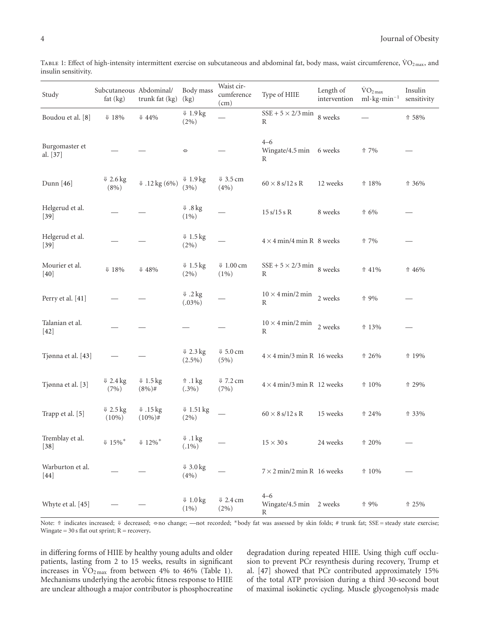| Study                      | Subcutaneous Abdominal/<br>fat (kg) | trunk fat (kg)                    | Body mass<br>(kg)                  | Waist cir-<br>cumference<br>(cm)         | Type of HIIE                                     | Length of<br>intervention | $\rm \dot{VO}_{2\,max}$<br>$ml \cdot kg \cdot min^{-1}$ | Insulin<br>sensitivity |
|----------------------------|-------------------------------------|-----------------------------------|------------------------------------|------------------------------------------|--------------------------------------------------|---------------------------|---------------------------------------------------------|------------------------|
| Boudou et al. [8]          | $\Downarrow$ 18%                    | $\Downarrow 44\%$                 | $\sqrt{1.9 \text{ kg}}$<br>$(2\%)$ |                                          | $SSE + 5 \times 2/3$ min<br>R                    | 8 weeks                   |                                                         | ↑ 58%                  |
| Burgomaster et<br>al. [37] |                                     |                                   | $\Leftrightarrow$                  |                                          | $4 - 6$<br>Wingate/4.5 min 6 weeks<br>R          |                           | ↑ 7%                                                    |                        |
| Dunn [46]                  | $\sqrt{2.6}$ kg<br>$(8\%)$          | $\sqrt{12 \text{ kg} (6\%)}$      | $\sqrt{1.9 \text{ kg}}$<br>(3%)    | $\sqrt{3.5}$ cm<br>(4% )                 | $60 \times 8$ s/12 s R                           | 12 weeks                  | ↑ 18%                                                   | ↑ 36%                  |
| Helgerud et al.<br>$[39]$  |                                     |                                   | $\Downarrow$ .8 kg<br>$(1\%)$      |                                          | 15 s/15 s R                                      | 8 weeks                   | ↑ 6%                                                    |                        |
| Helgerud et al.<br>$[39]$  |                                     |                                   | $\sqrt{1.5}$ kg<br>$(2\%)$         |                                          | $4 \times 4$ min/4 min R 8 weeks                 |                           | ↑ 7%                                                    |                        |
| Mourier et al.<br>[40]     | $\Downarrow$ 18%                    | $\Downarrow 48\%$                 | $\sqrt{1.5}$ kg<br>$(2\%)$         | $V$ 1.00 cm<br>$(1\%)$                   | SSE + $5 \times 2/3$ min 8 weeks<br>$\mathbb{R}$ |                           | ↑ 41%                                                   | ↑ 46%                  |
| Perry et al. [41]          |                                     |                                   | $\downarrow$ .2 kg<br>$(.03\%)$    |                                          | $10 \times 4$ min/2 min<br>$\mathbb{R}$          | 2 weeks                   | ↑ 9%                                                    |                        |
| Talanian et al.<br>$[42]$  |                                     |                                   |                                    |                                          | $10 \times 4$ min/2 min<br>$\mathbb{R}$          | 2 weeks                   | ↑ 13%                                                   |                        |
| Tjønna et al. [43]         |                                     |                                   | $\sqrt{2.3}$ kg<br>$(2.5\%)$       | $\sqrt{5.0}$ cm<br>(5%)                  | $4 \times 4$ min/3 min R 16 weeks                |                           | ↑ 26%                                                   | ↑ 19%                  |
| Tjønna et al. [3]          | $\sqrt{2.4 \text{ kg}}$<br>(7%)     | $\sqrt{1.5}$ kg<br>$(8\%)$ #      | $\Uparrow$ .1 kg<br>$(.3\%)$       | ↓ 7.2 cm<br>(7%)                         | $4\times4$ min/3 min R 12 weeks                  |                           | ↑ 10%                                                   | ↑ 29%                  |
| Trapp et al. [5]           | $\sqrt{2.5}$ kg<br>$(10\%)$         | $\downarrow$ .15 kg<br>$(10\%)$ # | $\downarrow$ 1.51 kg<br>$(2\%)$    |                                          | $60 \times 8$ s/12 s R                           | 15 weeks                  | ↑ 24%                                                   | ↑ 33%                  |
| Tremblay et al.<br>$[38]$  | $\Downarrow$ 15%*                   | $\sqrt{12\%}$ *                   | $\Downarrow$ .1 kg<br>$(.1\%)$     |                                          | $15\times30\,\mathrm{s}$                         | 24 weeks                  | ↑ 20%                                                   |                        |
| Warburton et al.<br>$[44]$ |                                     |                                   | $\sqrt{3.0 \text{ kg}}$<br>(4%)    |                                          | $7 \times 2$ min/2 min R 16 weeks                |                           | ↑ 10%                                                   |                        |
| Whyte et al. [45]          |                                     |                                   | $\sqrt{1.0 \text{ kg}}$<br>$(1\%)$ | $\Downarrow 2.4\,\mathrm{cm}$<br>$(2\%)$ | $4 - 6$<br>Wingate/4.5 min 2 weeks<br>R          |                           | ↑ 9%                                                    | $\Uparrow 25\%$        |

<span id="page-3-0"></span>TABLE 1: Effect of high-intensity intermittent exercise on subcutaneous and abdominal fat, body mass, waist circumference,  $\rm{VO}_{2\,max}$ , and insulin sensitivity.

Note: ⇑ indicates increased; ⇓ decreased; ⇔no change; —not recorded; <sup>∗</sup>body fat was assessed by skin folds; # trunk fat; SSE = steady state exercise; Wingate = 30 s flat out sprint; R = recovery**.**

in differing forms of HIIE by healthy young adults and older patients, lasting from 2 to 15 weeks, results in significant increases in  $\text{VO}_\text{2max}$  from between 4% to 46% (Table [1\)](#page-3-0). Mechanisms underlying the aerobic fitness response to HIIE are unclear although a major contributor is phosphocreatine

degradation during repeated HIIE. Using thigh cuff occlusion to prevent PCr resynthesis during recovery, Trump et al. [\[47](#page-9-0)] showed that PCr contributed approximately 15% of the total ATP provision during a third 30-second bout of maximal isokinetic cycling. Muscle glycogenolysis made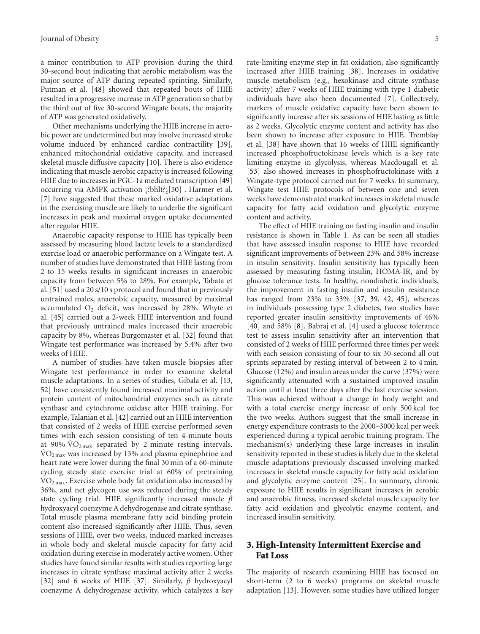a minor contribution to ATP provision during the third 30-second bout indicating that aerobic metabolism was the major source of ATP during repeated sprinting. Similarly, Putman et al. [\[48](#page-9-1)] showed that repeated bouts of HIIE resulted in a progressive increase in ATP generation so that by the third out of five 30-second Wingate bouts, the majority of ATP was generated oxidatively.

Other mechanisms underlying the HIIE increase in aerobic power are undetermined but may involve increased stroke volume induced by enhanced cardiac contractility [\[39\]](#page-8-22), enhanced mitochondrial oxidative capacity, and increased skeletal muscle diffusive capacity [\[10](#page-7-13)]. There is also evidence indicating that muscle aerobic capacity is increased following HIIE due to increases in PGC-1a mediated transcription [\[49](#page-9-2)] occurring via AMPK activation ¡?bhlt?¿[\[50\]](#page-9-3) . Harmer et al. [\[7](#page-7-14)] have suggested that these marked oxidative adaptations in the exercising muscle are likely to underlie the significant increases in peak and maximal oxygen uptake documented after regular HIIE.

Anaerobic capacity response to HIIE has typically been assessed by measuring blood lactate levels to a standardized exercise load or anaerobic performance on a Wingate test. A number of studies have demonstrated that HIIE lasting from 2 to 15 weeks results in significant increases in anaerobic capacity from between 5% to 28%. For example, Tabata et al. [\[51](#page-9-4)] used a 20 s/10 s protocol and found that in previously untrained males, anaerobic capacity, measured by maximal accumulated  $O_2$  deficit, was increased by 28%. Whyte et al. [\[45\]](#page-8-19) carried out a 2-week HIIE intervention and found that previously untrained males increased their anaerobic capacity by 8%, whereas Burgomaster et al. [\[32\]](#page-8-14) found that Wingate test performance was increased by 5.4% after two weeks of HIIE.

A number of studies have taken muscle biopsies after Wingate test performance in order to examine skeletal muscle adaptations. In a series of studies, Gibala et al. [\[13,](#page-7-5) [52](#page-9-5)] have consistently found increased maximal activity and protein content of mitochondrial enzymes such as citrate synthase and cytochrome oxidase after HIIE training. For example, Talanian et al. [\[42](#page-8-20)] carried out an HIIE intervention that consisted of 2 weeks of HIIE exercise performed seven times with each session consisting of ten 4-minute bouts at 90%  $\rm \dot{VO}_{2\,max}$  separated by 2-minute resting intervals.  $\rm \dot{VO}_{2\,max}$  was increased by 13% and plasma epinephrine and heart rate were lower during the final 30 min of a 60-minute cycling steady state exercise trial at 60% of pretraining  $\rm \dot{VO}_{2\,max}$ . Exercise whole body fat oxidation also increased by 36%, and net glycogen use was reduced during the steady state cycling trial. HIIE significantly increased muscle *β* hydroxyacyl coenzyme A dehydrogenase and citrate synthase. Total muscle plasma membrane fatty acid binding protein content also increased significantly after HIIE. Thus, seven sessions of HIIE, over two weeks, induced marked increases in whole body and skeletal muscle capacity for fatty acid oxidation during exercise in moderately active women. Other studies have found similar results with studies reporting large increases in citrate synthase maximal activity after 2 weeks [\[32\]](#page-8-14) and 6 weeks of HIIE [\[37](#page-8-21)]. Similarly, *β* hydroxyacyl coenzyme A dehydrogenase activity, which catalyzes a key

increased after HIIE training [\[38](#page-8-27)]. Increases in oxidative muscle metabolism (e.g., hexokinase and citrate synthase activity) after 7 weeks of HIIE training with type 1 diabetic individuals have also been documented [\[7\]](#page-7-14). Collectively, markers of muscle oxidative capacity have been shown to significantly increase after six sessions of HIIE lasting as little as 2 weeks. Glycolytic enzyme content and activity has also been shown to increase after exposure to HIIE. Tremblay et al. [\[38\]](#page-8-27) have shown that 16 weeks of HIIE significantly increased phosphofructokinase levels which is a key rate limiting enzyme in glycolysis, whereas Macdougall et al. [\[53\]](#page-9-6) also showed increases in phosphofructokinase with a Wingate-type protocol carried out for 7 weeks. In summary, Wingate test HIIE protocols of between one and seven weeks have demonstrated marked increases in skeletal muscle capacity for fatty acid oxidation and glycolytic enzyme content and activity.

The effect of HIIE training on fasting insulin and insulin resistance is shown in Table [1.](#page-3-0) As can be seen all studies that have assessed insulin response to HIIE have recorded significant improvements of between 23% and 58% increase in insulin sensitivity. Insulin sensitivity has typically been assessed by measuring fasting insulin, HOMA-IR, and by glucose tolerance tests. In healthy, nondiabetic individuals, the improvement in fasting insulin and insulin resistance has ranged from 23% to 33% [\[37,](#page-8-21) [39](#page-8-22), [42](#page-8-20), [45](#page-8-19)], whereas in individuals possessing type 2 diabetes, two studies have reported greater insulin sensitivity improvements of 46% [\[40\]](#page-8-23) and 58% [\[8\]](#page-7-12). Babraj et al. [\[4\]](#page-7-15) used a glucose tolerance test to assess insulin sensitivity after an intervention that consisted of 2 weeks of HIIE performed three times per week with each session consisting of four to six 30-second all out sprints separated by resting interval of between 2 to 4 min. Glucose (12%) and insulin areas under the curve (37%) were significantly attenuated with a sustained improved insulin action until at least three days after the last exercise session. This was achieved without a change in body weight and with a total exercise energy increase of only 500 kcal for the two weeks. Authors suggest that the small increase in energy expenditure contrasts to the 2000–3000 kcal per week experienced during a typical aerobic training program. The mechanism(s) underlying these large increases in insulin sensitivity reported in these studies is likely due to the skeletal muscle adaptations previously discussed involving marked increases in skeletal muscle capacity for fatty acid oxidation and glycolytic enzyme content [\[25\]](#page-8-7). In summary, chronic exposure to HIIE results in significant increases in aerobic and anaerobic fitness, increased skeletal muscle capacity for fatty acid oxidation and glycolytic enzyme content, and increased insulin sensitivity.

# 3. High-Intensity Intermittent Exercise and Fat Loss

The majority of research examining HIIE has focused on short-term (2 to 6 weeks) programs on skeletal muscle adaptation [\[13\]](#page-7-5). However, some studies have utilized longer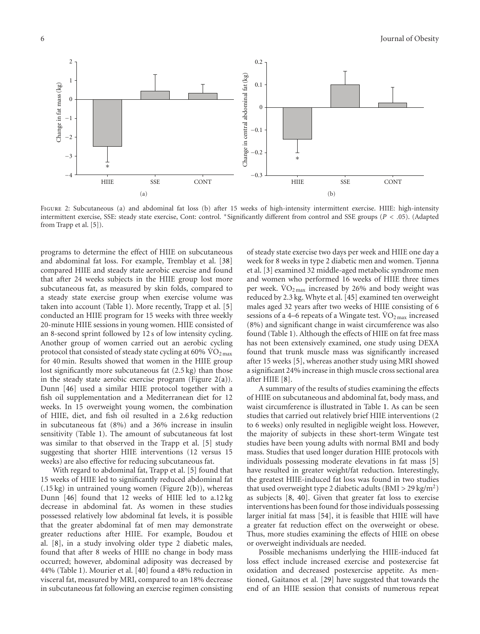<span id="page-5-0"></span>

Figure 2: Subcutaneous (a) and abdominal fat loss (b) after 15 weeks of high-intensity intermittent exercise. HIIE: high-intensity intermittent exercise, SSE: steady state exercise, Cont: control. <sup>∗</sup>Significantly different from control and SSE groups (*P<.*05). (Adapted from Trapp et al. [\[5\]](#page-7-6)).

programs to determine the effect of HIIE on subcutaneous and abdominal fat loss. For example, Tremblay et al. [\[38](#page-8-27)] compared HIIE and steady state aerobic exercise and found that after 24 weeks subjects in the HIIE group lost more subcutaneous fat, as measured by skin folds, compared to a steady state exercise group when exercise volume was taken into account (Table [1\)](#page-3-0). More recently, Trapp et al. [\[5](#page-7-6)] conducted an HIIE program for 15 weeks with three weekly 20-minute HIIE sessions in young women. HIIE consisted of an 8-second sprint followed by 12 s of low intensity cycling. Another group of women carried out an aerobic cycling protocol that consisted of steady state cycling at 60%  $\rm \dot{VO}_{2\,max}$ for 40 min. Results showed that women in the HIIE group lost significantly more subcutaneous fat (2.5 kg) than those in the steady state aerobic exercise program (Figure  $2(a)$ ). Dunn [\[46](#page-8-24)] used a similar HIIE protocol together with a fish oil supplementation and a Mediterranean diet for 12 weeks. In 15 overweight young women, the combination of HIIE, diet, and fish oil resulted in a 2.6 kg reduction in subcutaneous fat (8%) and a 36% increase in insulin sensitivity (Table [1\)](#page-3-0). The amount of subcutaneous fat lost was similar to that observed in the Trapp et al. [\[5\]](#page-7-6) study suggesting that shorter HIIE interventions (12 versus 15 weeks) are also effective for reducing subcutaneous fat.

With regard to abdominal fat, Trapp et al. [\[5\]](#page-7-6) found that 15 weeks of HIIE led to significantly reduced abdominal fat (.15 kg) in untrained young women (Figure [2\(b\)\)](#page-5-1), whereas Dunn [\[46\]](#page-8-24) found that 12 weeks of HIIE led to a.12 kg decrease in abdominal fat. As women in these studies possessed relatively low abdominal fat levels, it is possible that the greater abdominal fat of men may demonstrate greater reductions after HIIE. For example, Boudou et al. [\[8](#page-7-12)], in a study involving older type 2 diabetic males, found that after 8 weeks of HIIE no change in body mass occurred; however, abdominal adiposity was decreased by 44% (Table [1\)](#page-3-0). Mourier et al. [\[40\]](#page-8-23) found a 48% reduction in visceral fat, measured by MRI, compared to an 18% decrease in subcutaneous fat following an exercise regimen consisting

<span id="page-5-1"></span>of steady state exercise two days per week and HIIE one day a week for 8 weeks in type 2 diabetic men and women. Tjønna et al. [\[3\]](#page-7-3) examined 32 middle-aged metabolic syndrome men and women who performed 16 weeks of HIIE three times per week.  $VO<sub>2 max</sub>$  increased by 26% and body weight was reduced by 2.3 kg. Whyte et al. [\[45\]](#page-8-19) examined ten overweight males aged 32 years after two weeks of HIIE consisting of 6 sessions of a 4–6 repeats of a Wingate test.  $\rm \ddot{VO}_{2\,max}$  increased (8%) and significant change in waist circumference was also found (Table [1\)](#page-3-0). Although the effects of HIIE on fat free mass has not been extensively examined, one study using DEXA found that trunk muscle mass was significantly increased after 15 weeks [\[5\]](#page-7-6), whereas another study using MRI showed a significant 24% increase in thigh muscle cross sectional area after HIIE [\[8\]](#page-7-12).

A summary of the results of studies examining the effects of HIIE on subcutaneous and abdominal fat, body mass, and waist circumference is illustrated in Table [1.](#page-3-0) As can be seen studies that carried out relatively brief HIIE interventions (2 to 6 weeks) only resulted in negligible weight loss. However, the majority of subjects in these short-term Wingate test studies have been young adults with normal BMI and body mass. Studies that used longer duration HIIE protocols with individuals possessing moderate elevations in fat mass [\[5](#page-7-6)] have resulted in greater weight/fat reduction. Interestingly, the greatest HIIE-induced fat loss was found in two studies that used overweight type 2 diabetic adults (BMI *>* 29 kg/m2) as subjects [\[8](#page-7-12), [40\]](#page-8-23). Given that greater fat loss to exercise interventions has been found for those individuals possessing larger initial fat mass [\[54\]](#page-9-7), it is feasible that HIIE will have a greater fat reduction effect on the overweight or obese. Thus, more studies examining the effects of HIIE on obese or overweight individuals are needed.

Possible mechanisms underlying the HIIE-induced fat loss effect include increased exercise and postexercise fat oxidation and decreased postexercise appetite. As mentioned, Gaitanos et al. [\[29](#page-8-11)] have suggested that towards the end of an HIIE session that consists of numerous repeat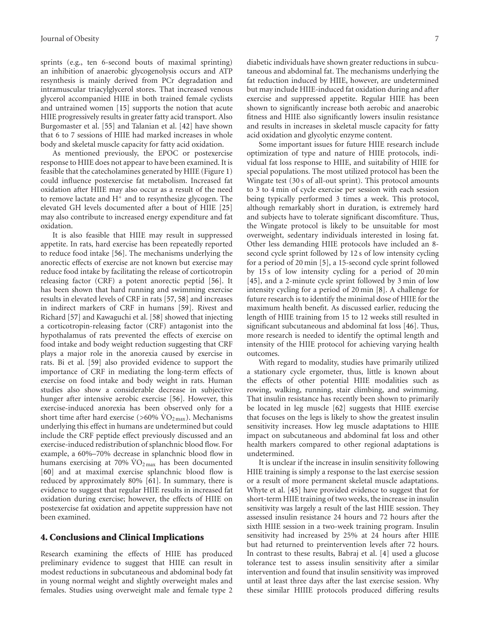sprints (e.g., ten 6-second bouts of maximal sprinting) an inhibition of anaerobic glycogenolysis occurs and ATP resynthesis is mainly derived from PCr degradation and intramuscular triacylglycerol stores. That increased venous glycerol accompanied HIIE in both trained female cyclists and untrained women [\[15\]](#page-7-8) supports the notion that acute HIIE progressively results in greater fatty acid transport. Also Burgomaster et al. [\[55](#page-9-8)] and Talanian et al. [\[42](#page-8-20)] have shown that 6 to 7 sessions of HIIE had marked increases in whole body and skeletal muscle capacity for fatty acid oxidation.

As mentioned previously, the EPOC or postexercise response to HIIE does not appear to have been examined. It is feasible that the catecholamines generated by HIIE (Figure [1\)](#page-2-0) could influence postexercise fat metabolism. Increased fat oxidation after HIIE may also occur as a result of the need to remove lactate and  $H^+$  and to resynthesize glycogen. The elevated GH levels documented after a bout of HIIE [\[25](#page-8-7)] may also contribute to increased energy expenditure and fat oxidation.

It is also feasible that HIIE may result in suppressed appetite. In rats, hard exercise has been repeatedly reported to reduce food intake [\[56\]](#page-9-9). The mechanisms underlying the anorectic effects of exercise are not known but exercise may reduce food intake by facilitating the release of corticotropin releasing factor (CRF) a potent anorectic peptid [\[56\]](#page-9-9). It has been shown that hard running and swimming exercise results in elevated levels of CRF in rats [\[57](#page-9-10), [58](#page-9-11)] and increases in indirect markers of CRF in humans [\[59](#page-9-12)]. Rivest and Richard [\[57](#page-9-10)] and Kawaguchi et al. [\[58](#page-9-11)] showed that injecting a corticotropin-releasing factor (CRF) antagonist into the hypothalamus of rats prevented the effects of exercise on food intake and body weight reduction suggesting that CRF plays a major role in the anorexia caused by exercise in rats. Bi et al. [\[59](#page-9-12)] also provided evidence to support the importance of CRF in mediating the long-term effects of exercise on food intake and body weight in rats. Human studies also show a considerable decrease in subjective hunger after intensive aerobic exercise [\[56](#page-9-9)]. However, this exercise-induced anorexia has been observed only for a short time after hard exercise ( $>60\%$  VO<sub>2 max</sub>). Mechanisms underlying this effect in humans are undetermined but could include the CRF peptide effect previously discussed and an exercise-induced redistribution of splanchnic blood flow. For example, a 60%–70% decrease in splanchnic blood flow in humans exercising at 70%  $\rm \dot{VO}_{2\,max}$  has been documented [\[60\]](#page-9-13) and at maximal exercise splanchnic blood flow is reduced by approximately 80% [\[61](#page-9-14)]. In summary, there is evidence to suggest that regular HIIE results in increased fat oxidation during exercise; however, the effects of HIIE on postexercise fat oxidation and appetite suppression have not been examined.

#### 4. Conclusions and Clinical Implications

Research examining the effects of HIIE has produced preliminary evidence to suggest that HIIE can result in modest reductions in subcutaneous and abdominal body fat in young normal weight and slightly overweight males and females. Studies using overweight male and female type 2

diabetic individuals have shown greater reductions in subcutaneous and abdominal fat. The mechanisms underlying the fat reduction induced by HIIE, however, are undetermined but may include HIIE-induced fat oxidation during and after exercise and suppressed appetite. Regular HIIE has been shown to significantly increase both aerobic and anaerobic fitness and HIIE also significantly lowers insulin resistance and results in increases in skeletal muscle capacity for fatty acid oxidation and glycolytic enzyme content.

Some important issues for future HIIE research include optimization of type and nature of HIIE protocols, individual fat loss response to HIIE, and suitability of HIIE for special populations. The most utilized protocol has been the Wingate test (30 s of all-out sprint). This protocol amounts to 3 to 4 min of cycle exercise per session with each session being typically performed 3 times a week. This protocol, although remarkably short in duration, is extremely hard and subjects have to tolerate significant discomfiture. Thus, the Wingate protocol is likely to be unsuitable for most overweight, sedentary individuals interested in losing fat. Other less demanding HIIE protocols have included an 8 second cycle sprint followed by 12 s of low intensity cycling for a period of 20 min [\[5\]](#page-7-6), a 15-second cycle sprint followed by 15 s of low intensity cycling for a period of 20 min [\[45\]](#page-8-19), and a 2-minute cycle sprint followed by 3 min of low intensity cycling for a period of 20 min [\[8](#page-7-12)]. A challenge for future research is to identify the minimal dose of HIIE for the maximum health benefit. As discussed earlier, reducing the length of HIIE training from 15 to 12 weeks still resulted in significant subcutaneous and abdominal fat loss [\[46](#page-8-24)]. Thus, more research is needed to identify the optimal length and intensity of the HIIE protocol for achieving varying health outcomes.

With regard to modality, studies have primarily utilized a stationary cycle ergometer, thus, little is known about the effects of other potential HIIE modalities such as rowing, walking, running, stair climbing, and swimming. That insulin resistance has recently been shown to primarily be located in leg muscle [\[62\]](#page-9-15) suggests that HIIE exercise that focuses on the legs is likely to show the greatest insulin sensitivity increases. How leg muscle adaptations to HIIE impact on subcutaneous and abdominal fat loss and other health markers compared to other regional adaptations is undetermined.

It is unclear if the increase in insulin sensitivity following HIIE training is simply a response to the last exercise session or a result of more permanent skeletal muscle adaptations. Whyte et al. [\[45\]](#page-8-19) have provided evidence to suggest that for short-term HIIE training of two weeks, the increase in insulin sensitivity was largely a result of the last HIIE session. They assessed insulin resistance 24 hours and 72 hours after the sixth HIIE session in a two-week training program. Insulin sensitivity had increased by 25% at 24 hours after HIIE but had returned to preintervention levels after 72 hours. In contrast to these results, Babraj et al. [\[4](#page-7-15)] used a glucose tolerance test to assess insulin sensitivity after a similar intervention and found that insulin sensitivity was improved until at least three days after the last exercise session. Why these similar HIIIE protocols produced differing results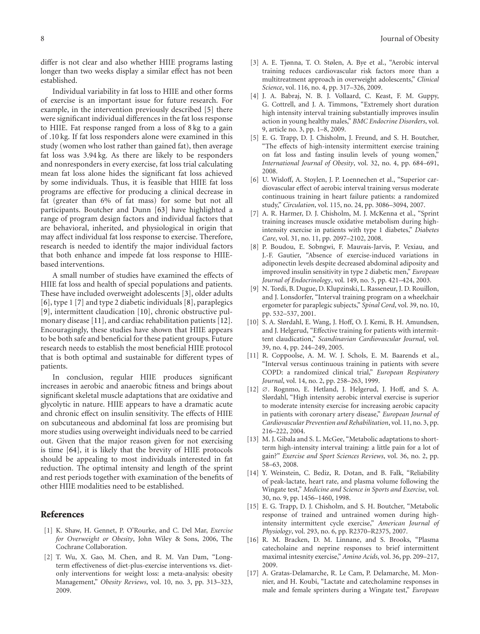differ is not clear and also whether HIIE programs lasting longer than two weeks display a similar effect has not been established.

Individual variability in fat loss to HIIE and other forms of exercise is an important issue for future research. For example, in the intervention previously described [\[5\]](#page-7-6) there were significant individual differences in the fat loss response to HIIE. Fat response ranged from a loss of 8 kg to a gain of .10 kg. If fat loss responders alone were examined in this study (women who lost rather than gained fat), then average fat loss was 3.94 kg. As there are likely to be responders and nonresponders in every exercise, fat loss trial calculating mean fat loss alone hides the significant fat loss achieved by some individuals. Thus, it is feasible that HIIE fat loss programs are effective for producing a clinical decrease in fat (greater than 6% of fat mass) for some but not all participants. Boutcher and Dunn [\[63](#page-9-16)] have highlighted a range of program design factors and individual factors that are behavioral, inherited, and physiological in origin that may affect individual fat loss response to exercise. Therefore, research is needed to identify the major individual factors that both enhance and impede fat loss response to HIIEbased interventions.

A small number of studies have examined the effects of HIIE fat loss and health of special populations and patients. These have included overweight adolescents [\[3\]](#page-7-3), older adults [\[6](#page-7-11)], type 1 [\[7\]](#page-7-14) and type 2 diabetic individuals [\[8](#page-7-12)], paraplegics [\[9](#page-7-16)], intermittent claudication [\[10\]](#page-7-13), chronic obstructive pulmonary disease [\[11\]](#page-7-17), and cardiac rehabilitation patients [\[12\]](#page-7-4). Encouragingly, these studies have shown that HIIE appears to be both safe and beneficial for these patient groups. Future research needs to establish the most beneficial HIIE protocol that is both optimal and sustainable for different types of patients.

In conclusion, regular HIIE produces significant increases in aerobic and anaerobic fitness and brings about significant skeletal muscle adaptations that are oxidative and glycolytic in nature. HIIE appears to have a dramatic acute and chronic effect on insulin sensitivity. The effects of HIIE on subcutaneous and abdominal fat loss are promising but more studies using overweight individuals need to be carried out. Given that the major reason given for not exercising is time [\[64\]](#page-9-17), it is likely that the brevity of HIIE protocols should be appealing to most individuals interested in fat reduction. The optimal intensity and length of the sprint and rest periods together with examination of the benefits of other HIIE modalities need to be established.

#### <span id="page-7-0"></span>References

- <span id="page-7-1"></span>[1] K. Shaw, H. Gennet, P. O'Rourke, and C. Del Mar, *Exercise for Overweight or Obesity*, John Wiley & Sons, 2006, The Cochrane Collaboration.
- <span id="page-7-2"></span>[2] T. Wu, X. Gao, M. Chen, and R. M. Van Dam, "Longterm effectiveness of diet-plus-exercise interventions vs. dietonly interventions for weight loss: a meta-analysis: obesity Management," *Obesity Reviews*, vol. 10, no. 3, pp. 313–323, 2009.
- <span id="page-7-3"></span>[3] A. E. Tjønna, T. O. Stølen, A. Bye et al., "Aerobic interval training reduces cardiovascular risk factors more than a multitreatment approach in overweight adolescents," *Clinical Science*, vol. 116, no. 4, pp. 317–326, 2009.
- <span id="page-7-15"></span>[4] J. A. Babraj, N. B. J. Vollaard, C. Keast, F. M. Guppy, G. Cottrell, and J. A. Timmons, "Extremely short duration high intensity interval training substantially improves insulin action in young healthy males," *BMC Endocrine Disorders*, vol. 9, article no. 3, pp. 1–8, 2009.
- <span id="page-7-6"></span>[5] E. G. Trapp, D. J. Chisholm, J. Freund, and S. H. Boutcher, "The effects of high-intensity intermittent exercise training on fat loss and fasting insulin levels of young women," *International Journal of Obesity*, vol. 32, no. 4, pp. 684–691, 2008.
- <span id="page-7-11"></span>[6] U. Wisloff, A. Stoylen, J. P. Loennechen et al., "Superior cardiovascular effect of aerobic interval training versus moderate continuous training in heart failure patients: a randomized study," *Circulation*, vol. 115, no. 24, pp. 3086–3094, 2007.
- <span id="page-7-14"></span>[7] A. R. Harmer, D. J. Chisholm, M. J. McKenna et al., "Sprint training increases muscle oxidative metabolism during highintensity exercise in patients with type 1 diabetes," *Diabetes Care*, vol. 31, no. 11, pp. 2097–2102, 2008.
- <span id="page-7-12"></span>[8] P. Boudou, E. Sobngwi, F. Mauvais-Jarvis, P. Vexiau, and J.-F. Gautier, "Absence of exercise-induced variations in adiponectin levels despite decreased abdominal adiposity and improved insulin sensitivity in type 2 diabetic men," *European Journal of Endocrinology*, vol. 149, no. 5, pp. 421–424, 2003.
- <span id="page-7-16"></span>[9] N. Tordi, B. Dugue, D. Klupzinski, L. Rasseneur, J. D. Rouillon, and J. Lonsdorfer, "Interval training program on a wheelchair ergometer for paraplegic subjects," *Spinal Cord*, vol. 39, no. 10, pp. 532–537, 2001.
- <span id="page-7-13"></span>[10] S. A. Slørdahl, E. Wang, J. Hoff, O. J. Kemi, B. H. Amundsen, and J. Helgerud, "Effective training for patients with intermittent claudication," *Scandinavian Cardiovascular Journal*, vol. 39, no. 4, pp. 244–249, 2005.
- <span id="page-7-17"></span>[11] R. Coppoolse, A. M. W. J. Schols, E. M. Baarends et al., "Interval versus continuous training in patients with severe COPD: a randomized clinical trial," *European Respiratory Journal*, vol. 14, no. 2, pp. 258–263, 1999.
- <span id="page-7-4"></span>[12] ∅. Rognmo, E. Hetland, J. Helgerud, J. Hoff, and S. A. Slørdahl, "High intensity aerobic interval exercise is superior to moderate intensity exercise for increasing aerobic capacity in patients with coronary artery disease," *European Journal of Cardiovascular Prevention and Rehabilitation*, vol. 11, no. 3, pp. 216–222, 2004.
- <span id="page-7-5"></span>[13] M. J. Gibala and S. L. McGee, "Metabolic adaptations to shortterm high-intensity interval training: a little pain for a lot of gain?" *Exercise and Sport Sciences Reviews*, vol. 36, no. 2, pp. 58–63, 2008.
- <span id="page-7-7"></span>[14] Y. Weinstein, C. Bediz, R. Dotan, and B. Falk, "Reliability of peak-lactate, heart rate, and plasma volume following the Wingate test," *Medicine and Science in Sports and Exercise*, vol. 30, no. 9, pp. 1456–1460, 1998.
- <span id="page-7-8"></span>[15] E. G. Trapp, D. J. Chisholm, and S. H. Boutcher, "Metabolic response of trained and untrained women during highintensity intermittent cycle exercise," *American Journal of Physiology*, vol. 293, no. 6, pp. R2370–R2375, 2007.
- <span id="page-7-9"></span>[16] R. M. Bracken, D. M. Linnane, and S. Brooks, "Plasma catecholaine and neprine responses to brief intermittent maximal intesnity exercise," *Amino Acids*, vol. 36, pp. 209–217, 2009.
- <span id="page-7-10"></span>[17] A. Gratas-Delamarche, R. Le Cam, P. Delamarche, M. Monnier, and H. Koubi, "Lactate and catecholamine responses in male and female sprinters during a Wingate test," *European*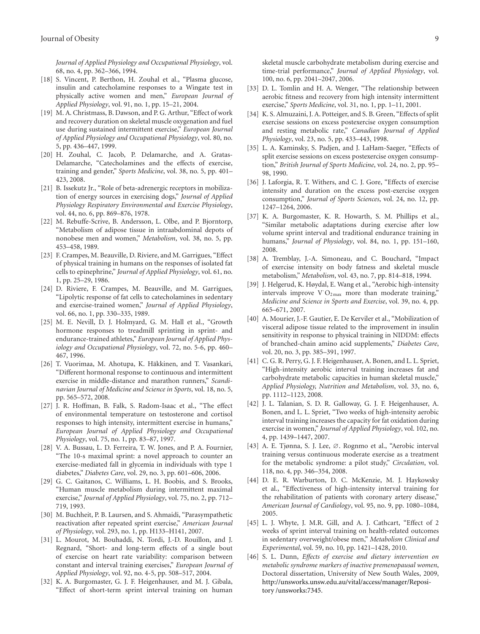*Journal of Applied Physiology and Occupational Physiology*, vol. 68, no. 4, pp. 362–366, 1994.

- <span id="page-8-0"></span>[18] S. Vincent, P. Berthon, H. Zouhal et al., "Plasma glucose, insulin and catecholamine responses to a Wingate test in physically active women and men," *European Journal of Applied Physiology*, vol. 91, no. 1, pp. 15–21, 2004.
- <span id="page-8-1"></span>[19] M. A. Christmass, B. Dawson, and P. G. Arthur, "Effect of work and recovery duration on skeletal muscle oxygenation and fuel use during sustained intermittent exercise," *European Journal of Applied Physiology and Occupational Physiology*, vol. 80, no. 5, pp. 436–447, 1999.
- <span id="page-8-2"></span>[20] H. Zouhal, C. Jacob, P. Delamarche, and A. Gratas-Delamarche, "Catecholamines and the effects of exercise, training and gender," *Sports Medicine*, vol. 38, no. 5, pp. 401– 423, 2008.
- <span id="page-8-3"></span>[21] B. Issekutz Jr., "Role of beta-adrenergic receptors in mobilization of energy sources in exercising dogs," *Journal of Applied Physiology Respiratory Environmental and Exercise Physiology*, vol. 44, no. 6, pp. 869–876, 1978.
- <span id="page-8-4"></span>[22] M. Rebuffe-Scrive, B. Andersson, L. Olbe, and P. Bjorntorp, "Metabolism of adipose tissue in intraabdominal depots of nonobese men and women," *Metabolism*, vol. 38, no. 5, pp. 453–458, 1989.
- <span id="page-8-5"></span>[23] F. Crampes, M. Beauville, D. Riviere, and M. Garrigues, "Effect of physical training in humans on the responses of isolated fat cells to epinephrine," *Journal of Applied Physiology*, vol. 61, no. 1, pp. 25–29, 1986.
- <span id="page-8-6"></span>[24] D. Riviere, F. Crampes, M. Beauville, and M. Garrigues, "Lipolytic response of fat cells to catecholamines in sedentary and exercise-trained women," *Journal of Applied Physiology*, vol. 66, no. 1, pp. 330–335, 1989.
- <span id="page-8-7"></span>[25] M. E. Nevill, D. J. Holmyard, G. M. Hall et al., "Growth hormone responses to treadmill sprinting in sprint- and endurance-trained athletes," *European Journal of Applied Physiology and Occupational Physiology*, vol. 72, no. 5-6, pp. 460– 467, 1996.
- <span id="page-8-8"></span>[26] T. Vuorimaa, M. Ahotupa, K. Häkkinen, and T. Vasankari, "Different hormonal response to continuous and intermittent exercise in middle-distance and marathon runners," *Scandinavian Journal of Medicine and Science in Sports*, vol. 18, no. 5, pp. 565–572, 2008.
- <span id="page-8-9"></span>[27] J. R. Hoffman, B. Falk, S. Radom-Isaac et al., "The effect of environmental temperature on testosterone and cortisol responses to high intensity, intermittent exercise in humans," *European Journal of Applied Physiology and Occupational Physiology*, vol. 75, no. 1, pp. 83–87, 1997.
- <span id="page-8-10"></span>[28] V. A. Bussau, L. D. Ferreira, T. W. Jones, and P. A. Fournier, "The 10-s maximal sprint: a novel approach to counter an exercise-mediated fall in glycemia in individuals with type 1 diabetes," *Diabetes Care*, vol. 29, no. 3, pp. 601–606, 2006.
- <span id="page-8-11"></span>[29] G. C. Gaitanos, C. Williams, L. H. Boobis, and S. Brooks, "Human muscle metabolism during intermittent maximal exercise," *Journal of Applied Physiology*, vol. 75, no. 2, pp. 712– 719, 1993.
- <span id="page-8-12"></span>[30] M. Buchheit, P. B. Laursen, and S. Ahmaidi, "Parasympathetic reactivation after repeated sprint exercise," *American Journal of Physiology*, vol. 293, no. 1, pp. H133–H141, 2007.
- <span id="page-8-13"></span>[31] L. Mourot, M. Bouhaddi, N. Tordi, J.-D. Rouillon, and J. Regnard, "Short- and long-term effects of a single bout of exercise on heart rate variability: comparison between constant and interval training exercises," *European Journal of Applied Physiology*, vol. 92, no. 4-5, pp. 508–517, 2004.
- <span id="page-8-14"></span>[32] K. A. Burgomaster, G. J. F. Heigenhauser, and M. J. Gibala, "Effect of short-term sprint interval training on human

skeletal muscle carbohydrate metabolism during exercise and time-trial performance," *Journal of Applied Physiology*, vol. 100, no. 6, pp. 2041–2047, 2006.

- <span id="page-8-15"></span>[33] D. L. Tomlin and H. A. Wenger, "The relationship between aerobic fitness and recovery from high intensity intermittent exercise," *Sports Medicine*, vol. 31, no. 1, pp. 1–11, 2001.
- <span id="page-8-16"></span>[34] K. S. Almuzaini, J. A. Potteiger, and S. B. Green, "Effects of split exercise sessions on excess postexercise oxygen consumption and resting metabolic rate," *Canadian Journal of Applied Physiology*, vol. 23, no. 5, pp. 433–443, 1998.
- <span id="page-8-17"></span>[35] L. A. Kaminsky, S. Padjen, and J. LaHam-Saeger, "Effects of split exercise sessions on excess postexercise oxygen consumption," *British Journal of Sports Medicine*, vol. 24, no. 2, pp. 95– 98, 1990.
- <span id="page-8-18"></span>[36] J. Laforgia, R. T. Withers, and C. J. Gore, "Effects of exercise" intensity and duration on the excess post-exercise oxygen consumption," *Journal of Sports Sciences*, vol. 24, no. 12, pp. 1247–1264, 2006.
- <span id="page-8-21"></span>[37] K. A. Burgomaster, K. R. Howarth, S. M. Phillips et al., "Similar metabolic adaptations during exercise after low volume sprint interval and traditional endurance training in humans," *Journal of Physiology*, vol. 84, no. 1, pp. 151–160, 2008.
- <span id="page-8-27"></span>[38] A. Tremblay, J.-A. Simoneau, and C. Bouchard, "Impact of exercise intensity on body fatness and skeletal muscle metabolism," *Metabolism*, vol. 43, no. 7, pp. 814–818, 1994.
- <span id="page-8-22"></span>[39] J. Helgerud, K. Høydal, E. Wang et al., "Aerobic high-intensity intervals improve V  $O_{2\max}$  more than moderate training," *Medicine and Science in Sports and Exercise*, vol. 39, no. 4, pp. 665–671, 2007.
- <span id="page-8-23"></span>[40] A. Mourier, J.-F. Gautier, E. De Kerviler et al., "Mobilization of visceral adipose tissue related to the improvement in insulin sensitivity in response to physical training in NIDDM: effects of branched-chain amino acid supplements," *Diabetes Care*, vol. 20, no. 3, pp. 385–391, 1997.
- <span id="page-8-25"></span>[41] C. G. R. Perry, G. J. F. Heigenhauser, A. Bonen, and L. L. Spriet, "High-intensity aerobic interval training increases fat and carbohydrate metabolic capacities in human skeletal muscle," *Applied Physiology, Nutrition and Metabolism*, vol. 33, no. 6, pp. 1112–1123, 2008.
- <span id="page-8-20"></span>[42] J. L. Talanian, S. D. R. Galloway, G. J. F. Heigenhauser, A. Bonen, and L. L. Spriet, "Two weeks of high-intensity aerobic interval training increases the capacity for fat oxidation during exercise in women," *Journal of Applied Physiology*, vol. 102, no. 4, pp. 1439–1447, 2007.
- <span id="page-8-26"></span>[43] A. E. Tjønna, S. J. Lee, ∅. Rognmo et al., "Aerobic interval training versus continuous moderate exercise as a treatment for the metabolic syndrome: a pilot study," *Circulation*, vol. 118, no. 4, pp. 346–354, 2008.
- <span id="page-8-28"></span>[44] D. E. R. Warburton, D. C. McKenzie, M. J. Haykowsky et al., "Effectiveness of high-intensity interval training for the rehabilitation of patients with coronary artery disease," *American Journal of Cardiology*, vol. 95, no. 9, pp. 1080–1084, 2005.
- <span id="page-8-19"></span>[45] L. J. Whyte, J. M.R. Gill, and A. J. Cathcart, "Effect of 2 weeks of sprint interval training on health-related outcomes in sedentary overweight/obese men," *Metabolism Clinical and Experimental*, vol. 59, no. 10, pp. 1421–1428, 2010.
- <span id="page-8-24"></span>[46] S. L. Dunn, *Effects of exercise and dietary intervention on metabolic syndrome markers of inactive premenopausal women*, Doctoral dissertation, University of New South Wales, 2009, [http://unsworks.unsw.edu.au/vital/access/manager/Reposi](http://unsworks.unsw.edu.au/vital/access/manager/Repository/unsworks:7345)[tory /unsworks:7345.](http://unsworks.unsw.edu.au/vital/access/manager/Repository/unsworks:7345)